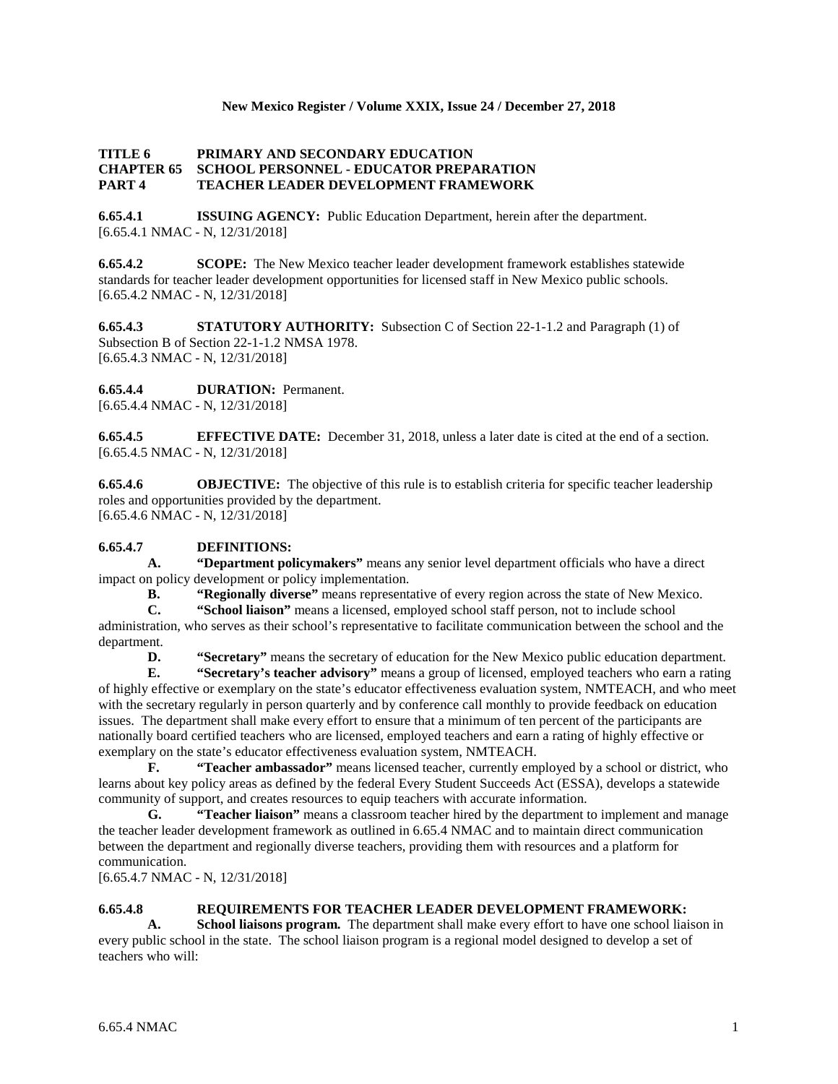## **New Mexico Register / Volume XXIX, Issue 24 / December 27, 2018**

### **TITLE 6 PRIMARY AND SECONDARY EDUCATION CHAPTER 65 SCHOOL PERSONNEL - EDUCATOR PREPARATION PART 4 TEACHER LEADER DEVELOPMENT FRAMEWORK**

**6.65.4.1 ISSUING AGENCY:** Public Education Department, herein after the department. [6.65.4.1 NMAC - N, 12/31/2018]

**6.65.4.2 SCOPE:** The New Mexico teacher leader development framework establishes statewide standards for teacher leader development opportunities for licensed staff in New Mexico public schools. [6.65.4.2 NMAC - N, 12/31/2018]

**6.65.4.3 STATUTORY AUTHORITY:** Subsection C of Section 22-1-1.2 and Paragraph (1) of Subsection B of Section 22-1-1.2 NMSA 1978. [6.65.4.3 NMAC - N, 12/31/2018]

**6.65.4.4 DURATION:** Permanent. [6.65.4.4 NMAC - N, 12/31/2018]

**6.65.4.5 EFFECTIVE DATE:** December 31, 2018, unless a later date is cited at the end of a section. [6.65.4.5 NMAC - N, 12/31/2018]

**6.65.4.6 OBJECTIVE:** The objective of this rule is to establish criteria for specific teacher leadership roles and opportunities provided by the department. [6.65.4.6 NMAC - N, 12/31/2018]

# **6.65.4.7 DEFINITIONS:**

**A. "Department policymakers"** means any senior level department officials who have a direct impact on policy development or policy implementation.

**B. "Regionally diverse"** means representative of every region across the state of New Mexico.

**C. "School liaison"** means a licensed, employed school staff person, not to include school administration, who serves as their school's representative to facilitate communication between the school and the department.

**D. "Secretary"** means the secretary of education for the New Mexico public education department.

**E. "Secretary's teacher advisory"** means a group of licensed, employed teachers who earn a rating of highly effective or exemplary on the state's educator effectiveness evaluation system, NMTEACH, and who meet with the secretary regularly in person quarterly and by conference call monthly to provide feedback on education issues. The department shall make every effort to ensure that a minimum of ten percent of the participants are nationally board certified teachers who are licensed, employed teachers and earn a rating of highly effective or exemplary on the state's educator effectiveness evaluation system, NMTEACH.

**F. "Teacher ambassador"** means licensed teacher, currently employed by a school or district, who learns about key policy areas as defined by the federal Every Student Succeeds Act (ESSA), develops a statewide community of support, and creates resources to equip teachers with accurate information.

**G. "Teacher liaison"** means a classroom teacher hired by the department to implement and manage the teacher leader development framework as outlined in 6.65.4 NMAC and to maintain direct communication between the department and regionally diverse teachers, providing them with resources and a platform for communication.

[6.65.4.7 NMAC - N, 12/31/2018]

#### **6.65.4.8 REQUIREMENTS FOR TEACHER LEADER DEVELOPMENT FRAMEWORK:**

**A. School liaisons program.** The department shall make every effort to have one school liaison in every public school in the state. The school liaison program is a regional model designed to develop a set of teachers who will: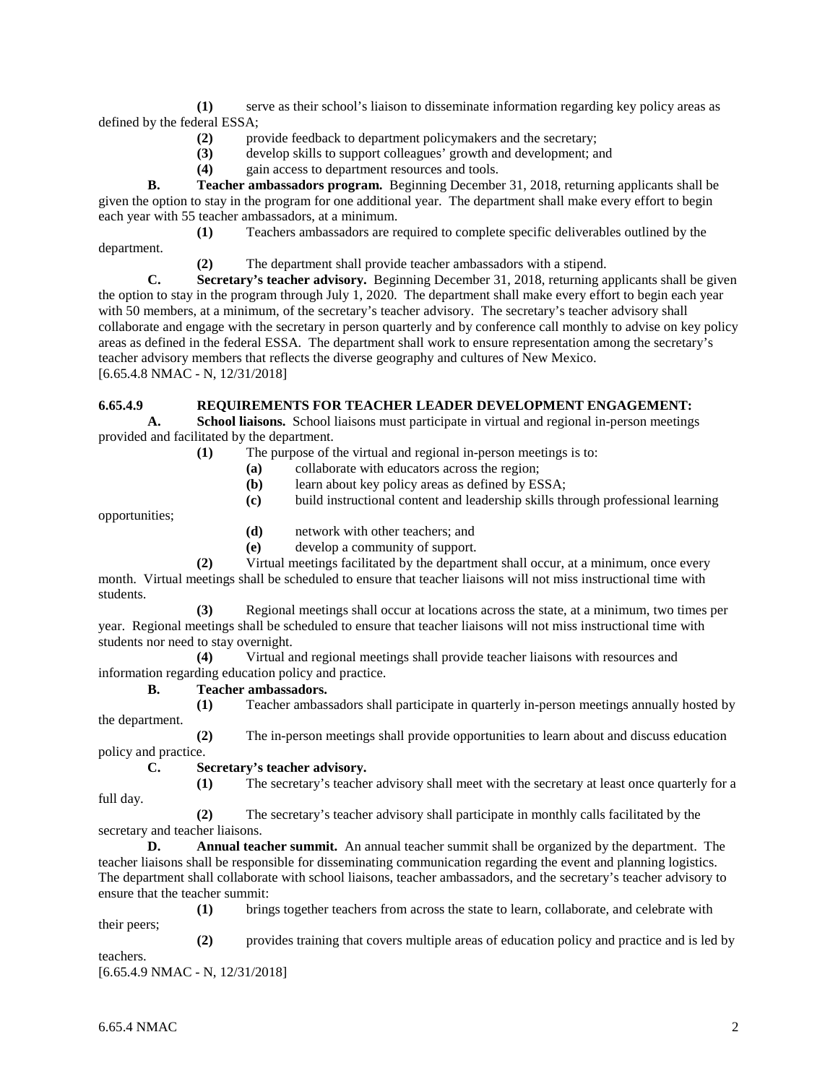**(1)** serve as their school's liaison to disseminate information regarding key policy areas as defined by the federal ESSA;

- **(2)** provide feedback to department policymakers and the secretary;
- **(3)** develop skills to support colleagues' growth and development; and
- **(4)** gain access to department resources and tools.

**B. Teacher ambassadors program.** Beginning December 31, 2018, returning applicants shall be given the option to stay in the program for one additional year. The department shall make every effort to begin each year with 55 teacher ambassadors, at a minimum.

**(1)** Teachers ambassadors are required to complete specific deliverables outlined by the department.

**(2)** The department shall provide teacher ambassadors with a stipend.

**C. Secretary's teacher advisory.** Beginning December 31, 2018, returning applicants shall be given the option to stay in the program through July 1, 2020. The department shall make every effort to begin each year with 50 members, at a minimum, of the secretary's teacher advisory. The secretary's teacher advisory shall collaborate and engage with the secretary in person quarterly and by conference call monthly to advise on key policy areas as defined in the federal ESSA. The department shall work to ensure representation among the secretary's teacher advisory members that reflects the diverse geography and cultures of New Mexico. [6.65.4.8 NMAC - N, 12/31/2018]

# **6.65.4.9 REQUIREMENTS FOR TEACHER LEADER DEVELOPMENT ENGAGEMENT:**

**A. School liaisons.** School liaisons must participate in virtual and regional in-person meetings provided and facilitated by the department.

**(1)** The purpose of the virtual and regional in-person meetings is to:

- **(a)** collaborate with educators across the region;
- **(b)** learn about key policy areas as defined by ESSA;
- **(c)** build instructional content and leadership skills through professional learning

opportunities;

- **(d)** network with other teachers; and
- **(e)** develop a community of support.

**(2)** Virtual meetings facilitated by the department shall occur, at a minimum, once every month. Virtual meetings shall be scheduled to ensure that teacher liaisons will not miss instructional time with students.

**(3)** Regional meetings shall occur at locations across the state, at a minimum, two times per year. Regional meetings shall be scheduled to ensure that teacher liaisons will not miss instructional time with students nor need to stay overnight.

**(4)** Virtual and regional meetings shall provide teacher liaisons with resources and information regarding education policy and practice.

#### **B. Teacher ambassadors.**

**(1)** Teacher ambassadors shall participate in quarterly in-person meetings annually hosted by the department.

**(2)** The in-person meetings shall provide opportunities to learn about and discuss education policy and practice.

**C. Secretary's teacher advisory.**

**(1)** The secretary's teacher advisory shall meet with the secretary at least once quarterly for a full day.

**(2)** The secretary's teacher advisory shall participate in monthly calls facilitated by the secretary and teacher liaisons.

**D. Annual teacher summit.** An annual teacher summit shall be organized by the department. The teacher liaisons shall be responsible for disseminating communication regarding the event and planning logistics. The department shall collaborate with school liaisons, teacher ambassadors, and the secretary's teacher advisory to ensure that the teacher summit:

**(1)** brings together teachers from across the state to learn, collaborate, and celebrate with their peers;

**(2)** provides training that covers multiple areas of education policy and practice and is led by teachers.

[6.65.4.9 NMAC - N, 12/31/2018]